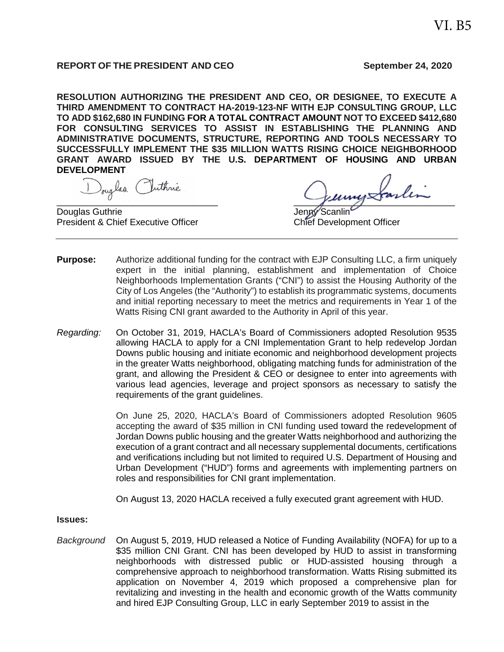#### **REPORT OF THE PRESIDENT AND CEO September 24, 2020**

**RESOLUTION AUTHORIZING THE PRESIDENT AND CEO, OR DESIGNEE, TO EXECUTE A THIRD AMENDMENT TO CONTRACT HA-2019-123-NF WITH EJP CONSULTING GROUP, LLC TO ADD \$162,680 IN FUNDING FOR A TOTAL CONTRACT AMOUNT NOT TO EXCEED \$412,680 FOR CONSULTING SERVICES TO ASSIST IN ESTABLISHING THE PLANNING AND ADMINISTRATIVE DOCUMENTS, STRUCTURE, REPORTING AND TOOLS NECESSARY TO SUCCESSFULLY IMPLEMENT THE \$35 MILLION WATTS RISING CHOICE NEIGHBORHOOD GRANT AWARD ISSUED BY THE U.S. DEPARTMENT OF HOUSING AND URBAN DEVELOPMENT**

Douglas Guthrie And The Scanling Scanling Scanling Scanling Scanling Scanling Scanling Scanling Scanling Scanling President & Chief Executive Officer Chief Development Officer

Douglas Inthré

- **Purpose:** Authorize additional funding for the contract with EJP Consulting LLC, a firm uniquely expert in the initial planning, establishment and implementation of Choice Neighborhoods Implementation Grants ("CNI") to assist the Housing Authority of the City of Los Angeles (the "Authority") to establish its programmatic systems, documents and initial reporting necessary to meet the metrics and requirements in Year 1 of the Watts Rising CNI grant awarded to the Authority in April of this year.
- *Regarding:* On October 31, 2019, HACLA's Board of Commissioners adopted Resolution 9535 allowing HACLA to apply for a CNI Implementation Grant to help redevelop Jordan Downs public housing and initiate economic and neighborhood development projects in the greater Watts neighborhood, obligating matching funds for administration of the grant, and allowing the President & CEO or designee to enter into agreements with various lead agencies, leverage and project sponsors as necessary to satisfy the requirements of the grant guidelines.

On June 25, 2020, HACLA's Board of Commissioners adopted Resolution 9605 accepting the award of \$35 million in CNI funding used toward the redevelopment of Jordan Downs public housing and the greater Watts neighborhood and authorizing the execution of a grant contract and all necessary supplemental documents, certifications and verifications including but not limited to required U.S. Department of Housing and Urban Development ("HUD") forms and agreements with implementing partners on roles and responsibilities for CNI grant implementation.

On August 13, 2020 HACLA received a fully executed grant agreement with HUD.

#### **Issues:**

*Background* On August 5, 2019, HUD released a Notice of Funding Availability (NOFA) for up to a \$35 million CNI Grant. CNI has been developed by HUD to assist in transforming neighborhoods with distressed public or HUD-assisted housing through a comprehensive approach to neighborhood transformation. Watts Rising submitted its application on November 4, 2019 which proposed a comprehensive plan for revitalizing and investing in the health and economic growth of the Watts community and hired EJP Consulting Group, LLC in early September 2019 to assist in the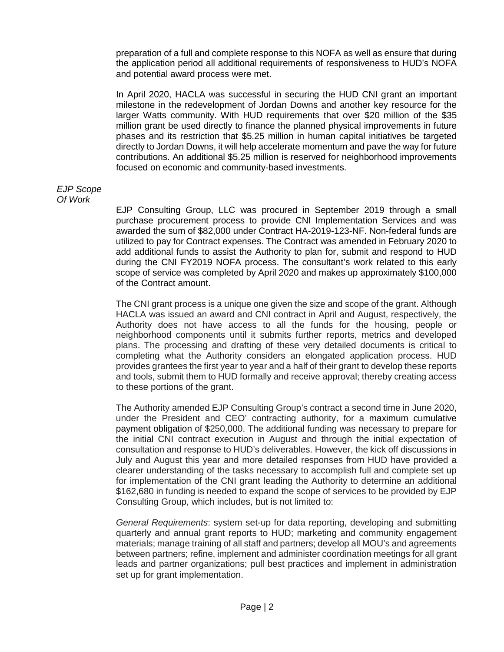preparation of a full and complete response to this NOFA as well as ensure that during the application period all additional requirements of responsiveness to HUD's NOFA and potential award process were met.

In April 2020, HACLA was successful in securing the HUD CNI grant an important milestone in the redevelopment of Jordan Downs and another key resource for the larger Watts community. With HUD requirements that over \$20 million of the \$35 million grant be used directly to finance the planned physical improvements in future phases and its restriction that \$5.25 million in human capital initiatives be targeted directly to Jordan Downs, it will help accelerate momentum and pave the way for future contributions. An additional \$5.25 million is reserved for neighborhood improvements focused on economic and community-based investments.

#### *EJP Scope Of Work*

EJP Consulting Group, LLC was procured in September 2019 through a small purchase procurement process to provide CNI Implementation Services and was awarded the sum of \$82,000 under Contract HA-2019-123-NF. Non-federal funds are utilized to pay for Contract expenses. The Contract was amended in February 2020 to add additional funds to assist the Authority to plan for, submit and respond to HUD during the CNI FY2019 NOFA process. The consultant's work related to this early scope of service was completed by April 2020 and makes up approximately \$100,000 of the Contract amount.

The CNI grant process is a unique one given the size and scope of the grant. Although HACLA was issued an award and CNI contract in April and August, respectively, the Authority does not have access to all the funds for the housing, people or neighborhood components until it submits further reports, metrics and developed plans. The processing and drafting of these very detailed documents is critical to completing what the Authority considers an elongated application process. HUD provides grantees the first year to year and a half of their grant to develop these reports and tools, submit them to HUD formally and receive approval; thereby creating access to these portions of the grant.

The Authority amended EJP Consulting Group's contract a second time in June 2020, under the President and CEO' contracting authority, for a maximum cumulative payment obligation of \$250,000. The additional funding was necessary to prepare for the initial CNI contract execution in August and through the initial expectation of consultation and response to HUD's deliverables. However, the kick off discussions in July and August this year and more detailed responses from HUD have provided a clearer understanding of the tasks necessary to accomplish full and complete set up for implementation of the CNI grant leading the Authority to determine an additional \$162,680 in funding is needed to expand the scope of services to be provided by EJP Consulting Group, which includes, but is not limited to:

*General Requirements*: system set-up for data reporting, developing and submitting quarterly and annual grant reports to HUD; marketing and community engagement materials; manage training of all staff and partners; develop all MOU's and agreements between partners; refine, implement and administer coordination meetings for all grant leads and partner organizations; pull best practices and implement in administration set up for grant implementation.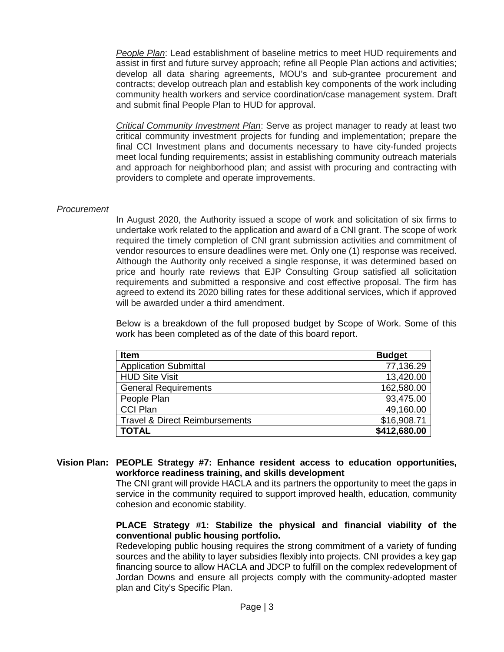*People Plan*: Lead establishment of baseline metrics to meet HUD requirements and assist in first and future survey approach; refine all People Plan actions and activities; develop all data sharing agreements, MOU's and sub-grantee procurement and contracts; develop outreach plan and establish key components of the work including community health workers and service coordination/case management system. Draft and submit final People Plan to HUD for approval.

*Critical Community Investment Plan*: Serve as project manager to ready at least two critical community investment projects for funding and implementation; prepare the final CCI Investment plans and documents necessary to have city-funded projects meet local funding requirements; assist in establishing community outreach materials and approach for neighborhood plan; and assist with procuring and contracting with providers to complete and operate improvements.

### *Procurement*

In August 2020, the Authority issued a scope of work and solicitation of six firms to undertake work related to the application and award of a CNI grant. The scope of work required the timely completion of CNI grant submission activities and commitment of vendor resources to ensure deadlines were met. Only one (1) response was received. Although the Authority only received a single response, it was determined based on price and hourly rate reviews that EJP Consulting Group satisfied all solicitation requirements and submitted a responsive and cost effective proposal. The firm has agreed to extend its 2020 billing rates for these additional services, which if approved will be awarded under a third amendment.

Below is a breakdown of the full proposed budget by Scope of Work. Some of this work has been completed as of the date of this board report.

| <b>Item</b>                               | <b>Budget</b> |
|-------------------------------------------|---------------|
| <b>Application Submittal</b>              | 77,136.29     |
| <b>HUD Site Visit</b>                     | 13,420.00     |
| <b>General Requirements</b>               | 162,580.00    |
| People Plan                               | 93,475.00     |
| <b>CCI Plan</b>                           | 49,160.00     |
| <b>Travel &amp; Direct Reimbursements</b> | \$16,908.71   |
| <b>TOTAL</b>                              | \$412,680.00  |

# **Vision Plan: PEOPLE Strategy #7: Enhance resident access to education opportunities, workforce readiness training, and skills development**

The CNI grant will provide HACLA and its partners the opportunity to meet the gaps in service in the community required to support improved health, education, community cohesion and economic stability.

## **PLACE Strategy #1: Stabilize the physical and financial viability of the conventional public housing portfolio.**

Redeveloping public housing requires the strong commitment of a variety of funding sources and the ability to layer subsidies flexibly into projects. CNI provides a key gap financing source to allow HACLA and JDCP to fulfill on the complex redevelopment of Jordan Downs and ensure all projects comply with the community-adopted master plan and City's Specific Plan.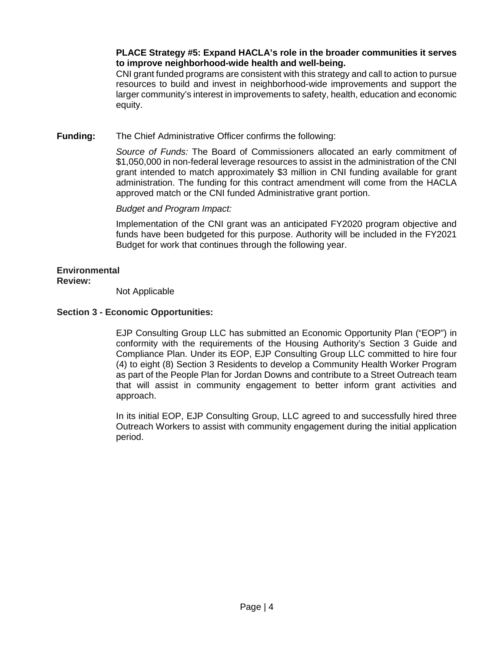# **PLACE Strategy #5: Expand HACLA's role in the broader communities it serves to improve neighborhood-wide health and well-being.**

CNI grant funded programs are consistent with this strategy and call to action to pursue resources to build and invest in neighborhood-wide improvements and support the larger community's interest in improvements to safety, health, education and economic equity.

# **Funding:** The Chief Administrative Officer confirms the following:

*Source of Funds:* The Board of Commissioners allocated an early commitment of \$1,050,000 in non-federal leverage resources to assist in the administration of the CNI grant intended to match approximately \$3 million in CNI funding available for grant administration. The funding for this contract amendment will come from the HACLA approved match or the CNI funded Administrative grant portion.

*Budget and Program Impact:*

Implementation of the CNI grant was an anticipated FY2020 program objective and funds have been budgeted for this purpose. Authority will be included in the FY2021 Budget for work that continues through the following year.

### **Environmental**

# **Review:**

Not Applicable

# **Section 3 - Economic Opportunities:**

EJP Consulting Group LLC has submitted an Economic Opportunity Plan ("EOP") in conformity with the requirements of the Housing Authority's Section 3 Guide and Compliance Plan. Under its EOP, EJP Consulting Group LLC committed to hire four (4) to eight (8) Section 3 Residents to develop a Community Health Worker Program as part of the People Plan for Jordan Downs and contribute to a Street Outreach team that will assist in community engagement to better inform grant activities and approach.

In its initial EOP, EJP Consulting Group, LLC agreed to and successfully hired three Outreach Workers to assist with community engagement during the initial application period.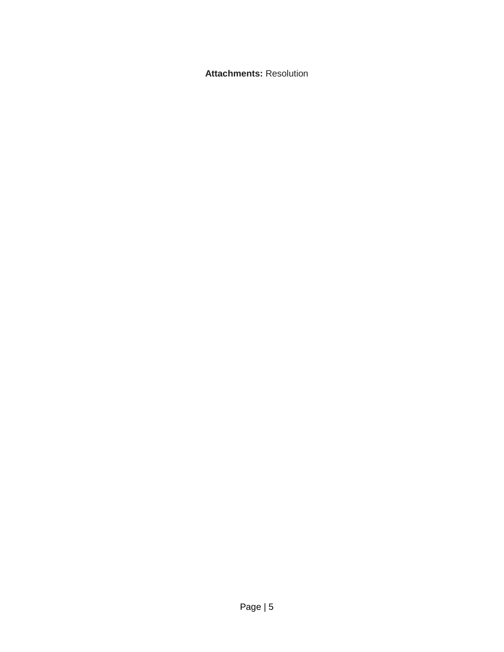**Attachments:** Resolution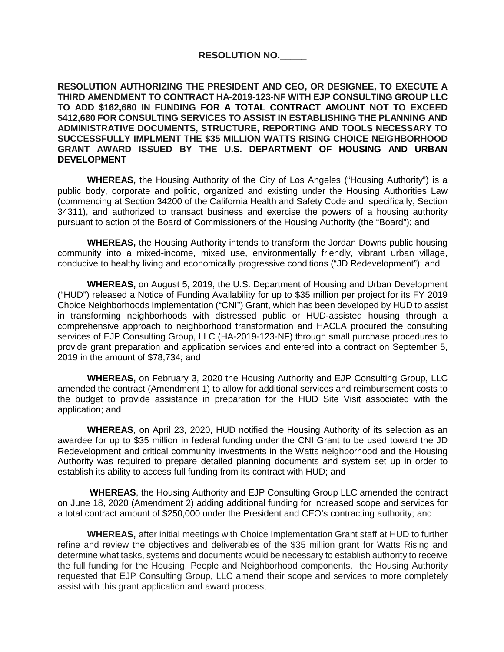### **RESOLUTION NO.\_\_\_\_\_**

**RESOLUTION AUTHORIZING THE PRESIDENT AND CEO, OR DESIGNEE, TO EXECUTE A THIRD AMENDMENT TO CONTRACT HA-2019-123-NF WITH EJP CONSULTING GROUP LLC TO ADD \$162,680 IN FUNDING FOR A TOTAL CONTRACT AMOUNT NOT TO EXCEED \$412,680 FOR CONSULTING SERVICES TO ASSIST IN ESTABLISHING THE PLANNING AND ADMINISTRATIVE DOCUMENTS, STRUCTURE, REPORTING AND TOOLS NECESSARY TO SUCCESSFULLY IMPLMENT THE \$35 MILLION WATTS RISING CHOICE NEIGHBORHOOD GRANT AWARD ISSUED BY THE U.S. DEPARTMENT OF HOUSING AND URBAN DEVELOPMENT**

**WHEREAS,** the Housing Authority of the City of Los Angeles ("Housing Authority") is a public body, corporate and politic, organized and existing under the Housing Authorities Law (commencing at Section 34200 of the California Health and Safety Code and, specifically, Section 34311), and authorized to transact business and exercise the powers of a housing authority pursuant to action of the Board of Commissioners of the Housing Authority (the "Board"); and

**WHEREAS,** the Housing Authority intends to transform the Jordan Downs public housing community into a mixed-income, mixed use, environmentally friendly, vibrant urban village, conducive to healthy living and economically progressive conditions ("JD Redevelopment"); and

**WHEREAS,** on August 5, 2019, the U.S. Department of Housing and Urban Development ("HUD") released a Notice of Funding Availability for up to \$35 million per project for its FY 2019 Choice Neighborhoods Implementation ("CNI") Grant, which has been developed by HUD to assist in transforming neighborhoods with distressed public or HUD-assisted housing through a comprehensive approach to neighborhood transformation and HACLA procured the consulting services of EJP Consulting Group, LLC (HA-2019-123-NF) through small purchase procedures to provide grant preparation and application services and entered into a contract on September 5, 2019 in the amount of \$78,734; and

**WHEREAS,** on February 3, 2020 the Housing Authority and EJP Consulting Group, LLC amended the contract (Amendment 1) to allow for additional services and reimbursement costs to the budget to provide assistance in preparation for the HUD Site Visit associated with the application; and

**WHEREAS**, on April 23, 2020, HUD notified the Housing Authority of its selection as an awardee for up to \$35 million in federal funding under the CNI Grant to be used toward the JD Redevelopment and critical community investments in the Watts neighborhood and the Housing Authority was required to prepare detailed planning documents and system set up in order to establish its ability to access full funding from its contract with HUD; and

**WHEREAS**, the Housing Authority and EJP Consulting Group LLC amended the contract on June 18, 2020 (Amendment 2) adding additional funding for increased scope and services for a total contract amount of \$250,000 under the President and CEO's contracting authority; and

**WHEREAS,** after initial meetings with Choice Implementation Grant staff at HUD to further refine and review the objectives and deliverables of the \$35 million grant for Watts Rising and determine what tasks, systems and documents would be necessary to establish authority to receive the full funding for the Housing, People and Neighborhood components, the Housing Authority requested that EJP Consulting Group, LLC amend their scope and services to more completely assist with this grant application and award process;